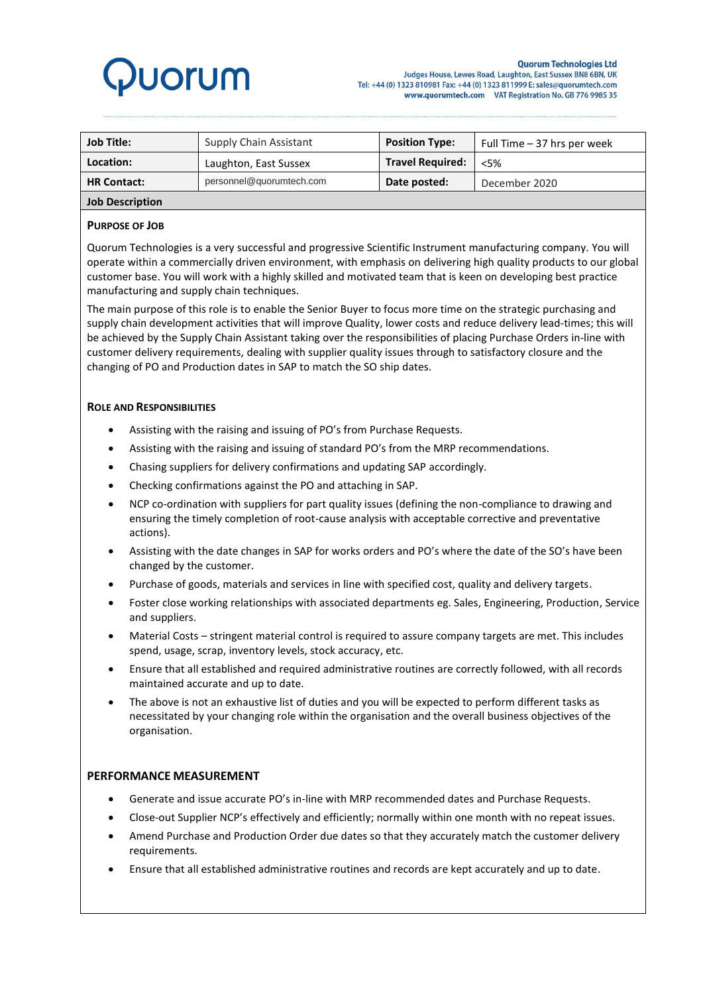# **Juorum**

| <b>Job Title:</b>      | <b>Supply Chain Assistant</b> | <b>Position Type:</b>   | Full Time - 37 hrs per week |
|------------------------|-------------------------------|-------------------------|-----------------------------|
| Location:              | Laughton, East Sussex         | <b>Travel Required:</b> | &5%                         |
| <b>HR Contact:</b>     | personnel@quorumtech.com      | Date posted:            | December 2020               |
| <b>Job Description</b> |                               |                         |                             |

## **PURPOSE OF JOB**

Quorum Technologies is a very successful and progressive Scientific Instrument manufacturing company. You will operate within a commercially driven environment, with emphasis on delivering high quality products to our global customer base. You will work with a highly skilled and motivated team that is keen on developing best practice manufacturing and supply chain techniques.

The main purpose of this role is to enable the Senior Buyer to focus more time on the strategic purchasing and supply chain development activities that will improve Quality, lower costs and reduce delivery lead-times; this will be achieved by the Supply Chain Assistant taking over the responsibilities of placing Purchase Orders in-line with customer delivery requirements, dealing with supplier quality issues through to satisfactory closure and the changing of PO and Production dates in SAP to match the SO ship dates.

## **ROLE AND RESPONSIBILITIES**

- Assisting with the raising and issuing of PO's from Purchase Requests.
- Assisting with the raising and issuing of standard PO's from the MRP recommendations.
- Chasing suppliers for delivery confirmations and updating SAP accordingly.
- Checking confirmations against the PO and attaching in SAP.
- NCP co-ordination with suppliers for part quality issues (defining the non-compliance to drawing and ensuring the timely completion of root-cause analysis with acceptable corrective and preventative actions).
- Assisting with the date changes in SAP for works orders and PO's where the date of the SO's have been changed by the customer.
- Purchase of goods, materials and services in line with specified cost, quality and delivery targets.
- Foster close working relationships with associated departments eg. Sales, Engineering, Production, Service and suppliers.
- Material Costs stringent material control is required to assure company targets are met. This includes spend, usage, scrap, inventory levels, stock accuracy, etc.
- Ensure that all established and required administrative routines are correctly followed, with all records maintained accurate and up to date.
- The above is not an exhaustive list of duties and you will be expected to perform different tasks as necessitated by your changing role within the organisation and the overall business objectives of the organisation.

# **PERFORMANCE MEASUREMENT**

- Generate and issue accurate PO's in-line with MRP recommended dates and Purchase Requests.
- Close-out Supplier NCP's effectively and efficiently; normally within one month with no repeat issues.
- Amend Purchase and Production Order due dates so that they accurately match the customer delivery requirements.
- Ensure that all established administrative routines and records are kept accurately and up to date.